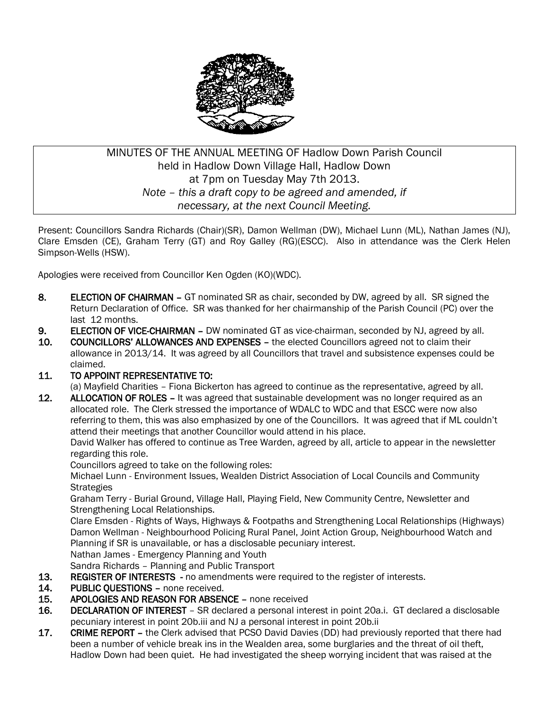

# MINUTES OF THE ANNUAL MEETING OF Hadlow Down Parish Council held in Hadlow Down Village Hall, Hadlow Down at 7pm on Tuesday May 7th 2013. *Note – this a draft copy to be agreed and amended, if necessary, at the next Council Meeting.*

Present: Councillors Sandra Richards (Chair)(SR), Damon Wellman (DW), Michael Lunn (ML), Nathan James (NJ), Clare Emsden (CE), Graham Terry (GT) and Roy Galley (RG)(ESCC). Also in attendance was the Clerk Helen Simpson-Wells (HSW).

Apologies were received from Councillor Ken Ogden (KO)(WDC).

- 8. ELECTION OF CHAIRMAN GT nominated SR as chair, seconded by DW, agreed by all. SR signed the Return Declaration of Office. SR was thanked for her chairmanship of the Parish Council (PC) over the last 12 months.
- 9. ELECTION OF VICE-CHAIRMAN DW nominated GT as vice-chairman, seconded by NJ, agreed by all.
- 10. COUNCILLORS' ALLOWANCES AND EXPENSES the elected Councillors agreed not to claim their allowance in 2013/14. It was agreed by all Councillors that travel and subsistence expenses could be claimed.

### 11. TO APPOINT REPRESENTATIVE TO:

(a) Mayfield Charities – Fiona Bickerton has agreed to continue as the representative, agreed by all.

12. ALLOCATION OF ROLES – It was agreed that sustainable development was no longer required as an allocated role. The Clerk stressed the importance of WDALC to WDC and that ESCC were now also referring to them, this was also emphasized by one of the Councillors. It was agreed that if ML couldn't attend their meetings that another Councillor would attend in his place.

David Walker has offered to continue as Tree Warden, agreed by all, article to appear in the newsletter regarding this role.

Councillors agreed to take on the following roles:

Michael Lunn - Environment Issues, Wealden District Association of Local Councils and Community **Strategies** 

 Graham Terry - Burial Ground, Village Hall, Playing Field, New Community Centre, Newsletter and Strengthening Local Relationships.

Clare Emsden - Rights of Ways, Highways & Footpaths and Strengthening Local Relationships (Highways) Damon Wellman - Neighbourhood Policing Rural Panel, Joint Action Group, Neighbourhood Watch and Planning if SR is unavailable, or has a disclosable pecuniary interest.

Nathan James - Emergency Planning and Youth

Sandra Richards – Planning and Public Transport

- 13. REGISTER OF INTERESTS no amendments were required to the register of interests.
- 14. PUBLIC QUESTIONS none received.
- 15. APOLOGIES AND REASON FOR ABSENCE none received
- 16. DECLARATION OF INTEREST SR declared a personal interest in point 20a.i. GT declared a disclosable pecuniary interest in point 20b.iii and NJ a personal interest in point 20b.ii
- 17. CRIME REPORT the Clerk advised that PCSO David Davies (DD) had previously reported that there had been a number of vehicle break ins in the Wealden area, some burglaries and the threat of oil theft, Hadlow Down had been quiet. He had investigated the sheep worrying incident that was raised at the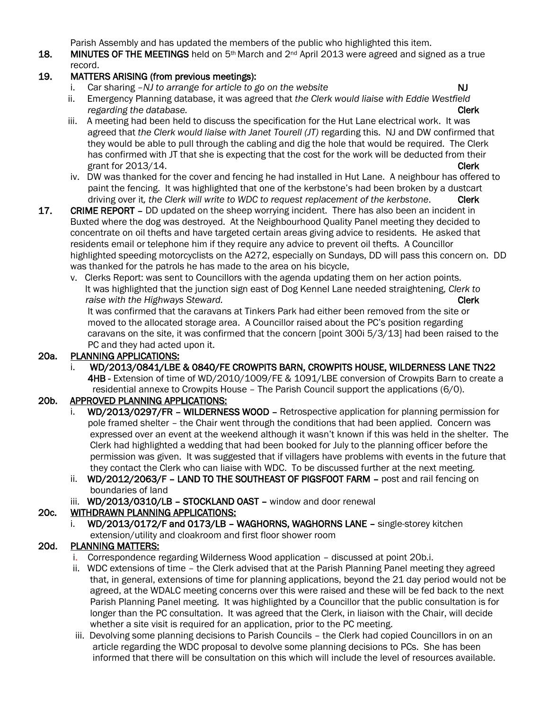Parish Assembly and has updated the members of the public who highlighted this item.

18. MINUTES OF THE MEETINGS held on 5<sup>th</sup> March and 2<sup>nd</sup> April 2013 were agreed and signed as a true record.

## 19. MATTERS ARISING (from previous meetings):

- i. Car sharing –*NJ to arrange for article to go on the website* N<sub>J</sub>
- ii. Emergency Planning database, it was agreed that *the Clerk would liaise with Eddie Westfield regarding the database.* Clerk and the database of  $\alpha$  is a set of  $\alpha$  is a set of  $\alpha$  is a set of  $\alpha$  is a set of  $\alpha$  is a set of  $\alpha$  is a set of  $\alpha$  is a set of  $\alpha$  is a set of  $\alpha$  is a set of  $\alpha$  is a set o
- iii. A meeting had been held to discuss the specification for the Hut Lane electrical work. It was agreed that *the Clerk would liaise with Janet Tourell (JT)* regarding this. NJ and DW confirmed that they would be able to pull through the cabling and dig the hole that would be required. The Clerk has confirmed with JT that she is expecting that the cost for the work will be deducted from their grant for 2013/14. Clerk
- iv. DW was thanked for the cover and fencing he had installed in Hut Lane. A neighbour has offered to paint the fencing. It was highlighted that one of the kerbstone's had been broken by a dustcart driving over it*, the Clerk will write to WDC to request replacement of the kerbstone*. Clerk
- 17. CRIME REPORT DD updated on the sheep worrying incident. There has also been an incident in Buxted where the dog was destroyed. At the Neighbourhood Quality Panel meeting they decided to concentrate on oil thefts and have targeted certain areas giving advice to residents. He asked that residents email or telephone him if they require any advice to prevent oil thefts. A Councillor highlighted speeding motorcyclists on the A272, especially on Sundays, DD will pass this concern on. DD was thanked for the patrols he has made to the area on his bicycle,
	- v. Clerks Report: was sent to Councillors with the agenda updating them on her action points. It was highlighted that the junction sign east of Dog Kennel Lane needed straightening, *Clerk to raise with the Highways Steward.* Clerk and the steward of the steward of the steward of the steward of the steward of the steward of the steward of the steward of the steward of the steward of the steward.

 It was confirmed that the caravans at Tinkers Park had either been removed from the site or moved to the allocated storage area. A Councillor raised about the PC's position regarding caravans on the site, it was confirmed that the concern [point 300i 5/3/13] had been raised to the PC and they had acted upon it.

### 20a. PLANNING APPLICATIONS:

 i. WD/2013/0841/LBE & 0840/FE CROWPITS BARN, CROWPITS HOUSE, WILDERNESS LANE TN22 4HB - Extension of time of WD/2010/1009/FE & 1091/LBE conversion of Crowpits Barn to create a residential annexe to Crowpits House – The Parish Council support the applications (6/0).

# 20b. APPROVED PLANNING APPLICATIONS:

- i. WD/2013/0297/FR WILDERNESS WOOD Retrospective application for planning permission for pole framed shelter – the Chair went through the conditions that had been applied. Concern was expressed over an event at the weekend although it wasn't known if this was held in the shelter. The Clerk had highlighted a wedding that had been booked for July to the planning officer before the permission was given. It was suggested that if villagers have problems with events in the future that they contact the Clerk who can liaise with WDC. To be discussed further at the next meeting.
- ii. WD/2012/2063/F LAND TO THE SOUTHEAST OF PIGSFOOT FARM post and rail fencing on boundaries of land
- iii. WD/2013/0310/LB STOCKLAND OAST window and door renewal

# 20c. WITHDRAWN PLANNING APPLICATIONS:

i. WD/2013/0172/F and 0173/LB - WAGHORNS, WAGHORNS LANE - single-storey kitchen extension/utility and cloakroom and first floor shower room

# 20d. PLANNING MATTERS:

- i. Correspondence regarding Wilderness Wood application discussed at point 20b.i.
- ii. WDC extensions of time the Clerk advised that at the Parish Planning Panel meeting they agreed that, in general, extensions of time for planning applications, beyond the 21 day period would not be agreed, at the WDALC meeting concerns over this were raised and these will be fed back to the next Parish Planning Panel meeting. It was highlighted by a Councillor that the public consultation is for longer than the PC consultation. It was agreed that the Clerk, in liaison with the Chair, will decide whether a site visit is required for an application, prior to the PC meeting.
- iii. Devolving some planning decisions to Parish Councils the Clerk had copied Councillors in on an article regarding the WDC proposal to devolve some planning decisions to PCs. She has been informed that there will be consultation on this which will include the level of resources available.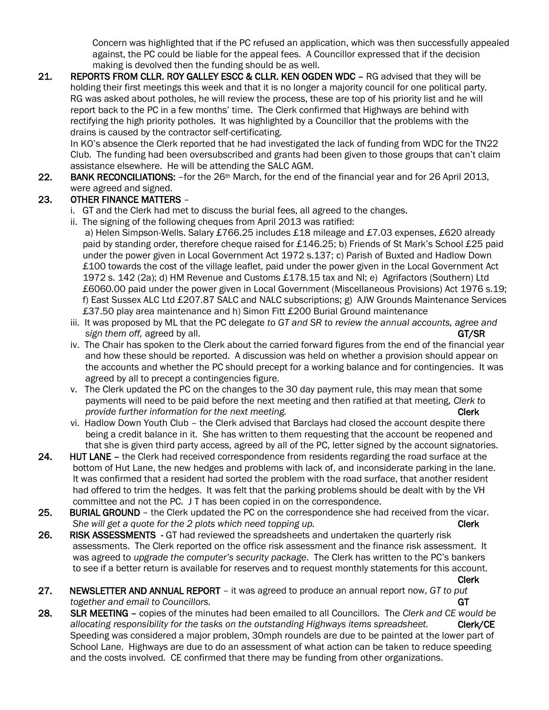Concern was highlighted that if the PC refused an application, which was then successfully appealed against, the PC could be liable for the appeal fees. A Councillor expressed that if the decision making is devolved then the funding should be as well.

21. REPORTS FROM CLLR. ROY GALLEY ESCC & CLLR. KEN OGDEN WDC - RG advised that they will be holding their first meetings this week and that it is no longer a majority council for one political party. RG was asked about potholes, he will review the process, these are top of his priority list and he will report back to the PC in a few months' time. The Clerk confirmed that Highways are behind with rectifying the high priority potholes. It was highlighted by a Councillor that the problems with the drains is caused by the contractor self-certificating.

In KO's absence the Clerk reported that he had investigated the lack of funding from WDC for the TN22 Club. The funding had been oversubscribed and grants had been given to those groups that can't claim assistance elsewhere. He will be attending the SALC AGM.

22. BANK RECONCILIATIONS: - for the 26<sup>th</sup> March, for the end of the financial year and for 26 April 2013, were agreed and signed.

# 23. OTHER FINANCE MATTERS –

- i. GT and the Clerk had met to discuss the burial fees, all agreed to the changes.
- ii. The signing of the following cheques from April 2013 was ratified: a) Helen Simpson-Wells. Salary £766.25 includes £18 mileage and £7.03 expenses, £620 already paid by standing order, therefore cheque raised for £146.25; b) Friends of St Mark's School £25 paid under the power given in Local Government Act 1972 s.137; c) Parish of Buxted and Hadlow Down £100 towards the cost of the village leaflet, paid under the power given in the Local Government Act 1972 s. 142 (2a); d) HM Revenue and Customs £178.15 tax and NI; e) Agrifactors (Southern) Ltd £6060.00 paid under the power given in Local Government (Miscellaneous Provisions) Act 1976 s.19; f) East Sussex ALC Ltd £207.87 SALC and NALC subscriptions; g) AJW Grounds Maintenance Services £37.50 play area maintenance and h) Simon Fitt £200 Burial Ground maintenance
- iii. It was proposed by ML that the PC delegate *to GT and SR to review the annual accounts, agree and sign them off, agreed by all.* GT/SR **GT/SR**
- iv. The Chair has spoken to the Clerk about the carried forward figures from the end of the financial year and how these should be reported. A discussion was held on whether a provision should appear on the accounts and whether the PC should precept for a working balance and for contingencies. It was agreed by all to precept a contingencies figure.
- v. The Clerk updated the PC on the changes to the 30 day payment rule, this may mean that some payments will need to be paid before the next meeting and then ratified at that meeting, *Clerk to provide further information for the next meeting.* The next meeting of the next meeting of the next meeting of the next meeting of the next meeting of the next meeting of the next meeting.
- vi. Hadlow Down Youth Club the Clerk advised that Barclays had closed the account despite there being a credit balance in it. She has written to them requesting that the account be reopened and that she is given third party access, agreed by all of the PC, letter signed by the account signatories.
- 24. HUT LANE the Clerk had received correspondence from residents regarding the road surface at the bottom of Hut Lane, the new hedges and problems with lack of, and inconsiderate parking in the lane. It was confirmed that a resident had sorted the problem with the road surface, that another resident had offered to trim the hedges. It was felt that the parking problems should be dealt with by the VH committee and not the PC. J T has been copied in on the correspondence.
- 25. BURIAL GROUND the Clerk updated the PC on the correspondence she had received from the vicar. *She will get a quote for the 2 plots which need topping up.* Cherk **Clerk**
- 26. RISK ASSESSMENTS GT had reviewed the spreadsheets and undertaken the quarterly risk assessments. The Clerk reported on the office risk assessment and the finance risk assessment. It was agreed to *upgrade the computer's security package*. The Clerk has written to the PC's bankers to see if a better return is available for reserves and to request monthly statements for this account.

Clerk

- 27. NEWSLETTER AND ANNUAL REPORT it was agreed to produce an annual report now, *GT to put together and email to Councillors.* GT **GT GT GT**
- 28. SLR MEETING copies of the minutes had been emailed to all Councillors. The *Clerk and CE would be*  allocating responsibility for the tasks on the outstanding Highways items spreadsheet. **Clerk/CE**  Speeding was considered a major problem, 30mph roundels are due to be painted at the lower part of School Lane. Highways are due to do an assessment of what action can be taken to reduce speeding and the costs involved. CE confirmed that there may be funding from other organizations.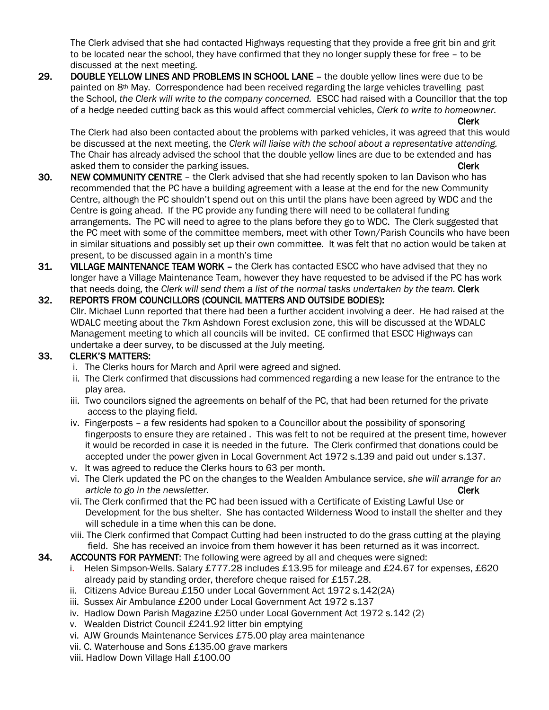The Clerk advised that she had contacted Highways requesting that they provide a free grit bin and grit to be located near the school, they have confirmed that they no longer supply these for free – to be discussed at the next meeting.

29. DOUBLE YELLOW LINES AND PROBLEMS IN SCHOOL LANE – the double yellow lines were due to be painted on 8th May. Correspondence had been received regarding the large vehicles travelling past the School, *the Clerk will write to the company concerned.* ESCC had raised with a Councillor that the top of a hedge needed cutting back as this would affect commercial vehicles, *Clerk to write to homeowner.* 

 The Clerk had also been contacted about the problems with parked vehicles, it was agreed that this would be discussed at the next meeting, the *Clerk will liaise with the school about a representative attending.* The Chair has already advised the school that the double yellow lines are due to be extended and has asked them to consider the parking issues. Clerk and the parking issues of the clerk clerk clerk

Clerk

- 30. NEW COMMUNITY CENTRE the Clerk advised that she had recently spoken to Ian Davison who has recommended that the PC have a building agreement with a lease at the end for the new Community Centre, although the PC shouldn't spend out on this until the plans have been agreed by WDC and the Centre is going ahead. If the PC provide any funding there will need to be collateral funding arrangements. The PC will need to agree to the plans before they go to WDC. The Clerk suggested that the PC meet with some of the committee members, meet with other Town/Parish Councils who have been in similar situations and possibly set up their own committee. It was felt that no action would be taken at present, to be discussed again in a month's time
- 31. VILLAGE MAINTENANCE TEAM WORK the Clerk has contacted ESCC who have advised that they no longer have a Village Maintenance Team, however they have requested to be advised if the PC has work that needs doing, the *Clerk will send them a list of the normal tasks undertaken by the team.* Clerk

#### 32. REPORTS FROM COUNCILLORS (COUNCIL MATTERS AND OUTSIDE BODIES): Cllr. Michael Lunn reported that there had been a further accident involving a deer. He had raised at the WDALC meeting about the 7km Ashdown Forest exclusion zone, this will be discussed at the WDALC Management meeting to which all councils will be invited. CE confirmed that ESCC Highways can undertake a deer survey, to be discussed at the July meeting.

### 33. CLERK'S MATTERS:

- i. The Clerks hours for March and April were agreed and signed.
- ii. The Clerk confirmed that discussions had commenced regarding a new lease for the entrance to the play area.
- iii. Two councilors signed the agreements on behalf of the PC, that had been returned for the private access to the playing field.
- iv. Fingerposts a few residents had spoken to a Councillor about the possibility of sponsoring fingerposts to ensure they are retained . This was felt to not be required at the present time, however it would be recorded in case it is needed in the future. The Clerk confirmed that donations could be accepted under the power given in Local Government Act 1972 s.139 and paid out under s.137.
- v. It was agreed to reduce the Clerks hours to 63 per month.
- vi. The Clerk updated the PC on the changes to the Wealden Ambulance service, *she will arrange for an article to go in the newsletter.* Clerk **Clerk Clerk**
- vii. The Clerk confirmed that the PC had been issued with a Certificate of Existing Lawful Use or Development for the bus shelter. She has contacted Wilderness Wood to install the shelter and they will schedule in a time when this can be done.
- viii. The Clerk confirmed that Compact Cutting had been instructed to do the grass cutting at the playing field. She has received an invoice from them however it has been returned as it was incorrect.
- 34. ACCOUNTS FOR PAYMENT: The following were agreed by all and cheques were signed:
	- i. Helen Simpson-Wells. Salary £777.28 includes £13.95 for mileage and £24.67 for expenses, £620 already paid by standing order, therefore cheque raised for £157.28.
	- ii. Citizens Advice Bureau £150 under Local Government Act 1972 s.142(2A)
	- iii. Sussex Air Ambulance £200 under Local Government Act 1972 s.137
	- iv. Hadlow Down Parish Magazine £250 under Local Government Act 1972 s.142 (2)
	- v. Wealden District Council £241.92 litter bin emptying
	- vi. AJW Grounds Maintenance Services £75.00 play area maintenance
	- vii. C. Waterhouse and Sons £135.00 grave markers
	- viii. Hadlow Down Village Hall £100.00